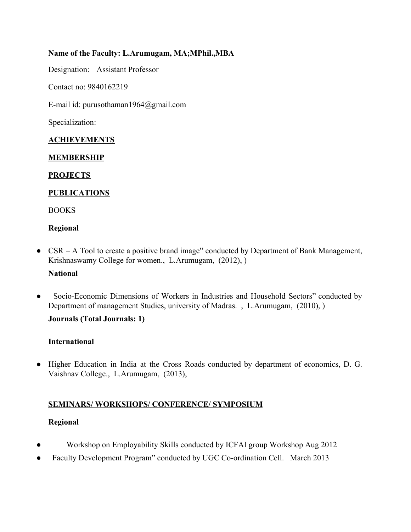### **Name of the Faculty: L.Arumugam, MA;MPhil.,MBA**

Designation: Assistant Professor

Contact no: 9840162219

E-mail id: purusothaman1964@gmail.com

Specialization:

#### **ACHIEVEMENTS**

#### **MEMBERSHIP**

#### **PROJECTS**

### **PUBLICATIONS**

BOOKS

#### **Regional**

• CSR – A Tool to create a positive brand image" conducted by Department of Bank Management, Krishnaswamy College for women., L.Arumugam, (2012), )

#### **National**

Socio-Economic Dimensions of Workers in Industries and Household Sectors" conducted by Department of management Studies, university of Madras. , L.Arumugam, (2010), )

#### **Journals (Total Journals: 1)**

#### **International**

● Higher Education in India at the Cross Roads conducted by department of economics, D. G. Vaishnav College., L.Arumugam, (2013),

### **SEMINARS/ WORKSHOPS/ CONFERENCE/ SYMPOSIUM**

#### **Regional**

- Workshop on Employability Skills conducted by ICFAI group Workshop Aug 2012
- Faculty Development Program" conducted by UGC Co-ordination Cell. March 2013